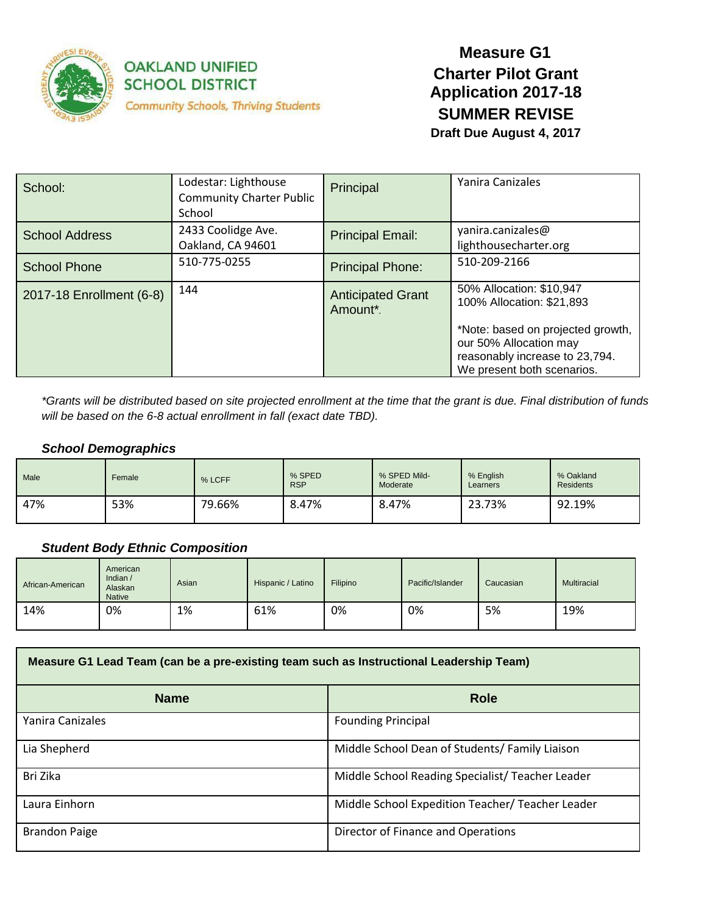

### **OAKLAND UNIFIED SCHOOL DISTRICT Community Schools, Thriving Students**

### **Measure G1 Charter Pilot Grant Application 2017-18 SUMMER REVISE**

**Draft Due August 4, 2017**

| School:                  | Lodestar: Lighthouse<br><b>Community Charter Public</b><br>School | Principal                            | Yanira Canizales                                                                                                            |
|--------------------------|-------------------------------------------------------------------|--------------------------------------|-----------------------------------------------------------------------------------------------------------------------------|
| <b>School Address</b>    | 2433 Coolidge Ave.<br>Oakland, CA 94601                           | <b>Principal Email:</b>              | yanira.canizales@<br>lighthousecharter.org                                                                                  |
| <b>School Phone</b>      | 510-775-0255                                                      | <b>Principal Phone:</b>              | 510-209-2166                                                                                                                |
| 2017-18 Enrollment (6-8) | 144                                                               | <b>Anticipated Grant</b><br>Amount*. | 50% Allocation: \$10,947<br>100% Allocation: \$21,893                                                                       |
|                          |                                                                   |                                      | *Note: based on projected growth,<br>our 50% Allocation may<br>reasonably increase to 23,794.<br>We present both scenarios. |

*\*Grants will be distributed based on site projected enrollment at the time that the grant is due. Final distribution of funds will be based on the 6-8 actual enrollment in fall (exact date TBD).*

#### *School Demographics*

| <b>Male</b> | Female | % LCFF | % SPED<br><b>RSP</b> | % SPED Mild-<br>Moderate | % English<br>Learners | % Oakland<br><b>Residents</b> |
|-------------|--------|--------|----------------------|--------------------------|-----------------------|-------------------------------|
| 47%         | 53%    | 79.66% | 8.47%                | 8.47%                    | 23.73%                | 92.19%                        |

#### *Student Body Ethnic Composition*

| African-American | American<br>Indian $/$<br>Alaskan<br><b>Native</b> | Asian | Hispanic / Latino | Filipino | Pacific/Islander | Caucasian | Multiracial |
|------------------|----------------------------------------------------|-------|-------------------|----------|------------------|-----------|-------------|
| 14%              | 0%                                                 | 1%    | 61%               | 0%       | 0%               | 5%        | 19%         |

| Measure G1 Lead Team (can be a pre-existing team such as Instructional Leadership Team) |                                                  |  |
|-----------------------------------------------------------------------------------------|--------------------------------------------------|--|
| <b>Name</b>                                                                             | <b>Role</b>                                      |  |
| Yanira Canizales                                                                        | <b>Founding Principal</b>                        |  |
| Lia Shepherd                                                                            | Middle School Dean of Students/ Family Liaison   |  |
| Bri Zika                                                                                | Middle School Reading Specialist/Teacher Leader  |  |
| Laura Einhorn                                                                           | Middle School Expedition Teacher/ Teacher Leader |  |
| <b>Brandon Paige</b>                                                                    | Director of Finance and Operations               |  |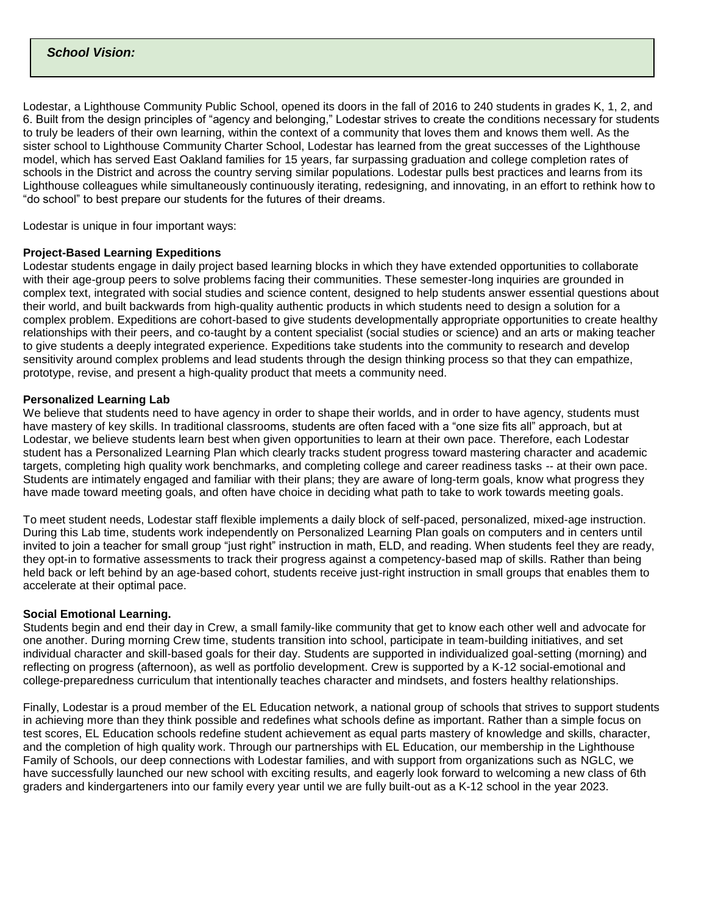#### *School Vision:*

Lodestar, a Lighthouse Community Public School, opened its doors in the fall of 2016 to 240 students in grades K, 1, 2, and 6. Built from the design principles of "agency and belonging," Lodestar strives to create the conditions necessary for students to truly be leaders of their own learning, within the context of a community that loves them and knows them well. As the sister school to Lighthouse Community Charter School, Lodestar has learned from the great successes of the Lighthouse model, which has served East Oakland families for 15 years, far surpassing graduation and college completion rates of schools in the District and across the country serving similar populations. Lodestar pulls best practices and learns from its Lighthouse colleagues while simultaneously continuously iterating, redesigning, and innovating, in an effort to rethink how to "do school" to best prepare our students for the futures of their dreams.

Lodestar is unique in four important ways:

#### **Project-Based Learning Expeditions**

Lodestar students engage in daily project based learning blocks in which they have extended opportunities to collaborate with their age-group peers to solve problems facing their communities. These semester-long inquiries are grounded in complex text, integrated with social studies and science content, designed to help students answer essential questions about their world, and built backwards from high-quality authentic products in which students need to design a solution for a complex problem. Expeditions are cohort-based to give students developmentally appropriate opportunities to create healthy relationships with their peers, and co-taught by a content specialist (social studies or science) and an arts or making teacher to give students a deeply integrated experience. Expeditions take students into the community to research and develop sensitivity around complex problems and lead students through the design thinking process so that they can empathize, prototype, revise, and present a high-quality product that meets a community need.

#### **Personalized Learning Lab**

We believe that students need to have agency in order to shape their worlds, and in order to have agency, students must have mastery of key skills. In traditional classrooms, students are often faced with a "one size fits all" approach, but at Lodestar, we believe students learn best when given opportunities to learn at their own pace. Therefore, each Lodestar student has a Personalized Learning Plan which clearly tracks student progress toward mastering character and academic targets, completing high quality work benchmarks, and completing college and career readiness tasks -- at their own pace. Students are intimately engaged and familiar with their plans; they are aware of long-term goals, know what progress they have made toward meeting goals, and often have choice in deciding what path to take to work towards meeting goals.

To meet student needs, Lodestar staff flexible implements a daily block of self-paced, personalized, mixed-age instruction. During this Lab time, students work independently on Personalized Learning Plan goals on computers and in centers until invited to join a teacher for small group "just right" instruction in math, ELD, and reading. When students feel they are ready, they opt-in to formative assessments to track their progress against a competency-based map of skills. Rather than being held back or left behind by an age-based cohort, students receive just-right instruction in small groups that enables them to accelerate at their optimal pace.

#### **Social Emotional Learning.**

Students begin and end their day in Crew, a small family-like community that get to know each other well and advocate for one another. During morning Crew time, students transition into school, participate in team-building initiatives, and set individual character and skill-based goals for their day. Students are supported in individualized goal-setting (morning) and reflecting on progress (afternoon), as well as portfolio development. Crew is supported by a K-12 social-emotional and college-preparedness curriculum that intentionally teaches character and mindsets, and fosters healthy relationships.

Finally, Lodestar is a proud member of the EL Education network, a national group of schools that strives to support students in achieving more than they think possible and redefines what schools define as important. Rather than a simple focus on test scores, EL Education schools redefine student achievement as equal parts mastery of knowledge and skills, character, and the completion of high quality work. Through our partnerships with EL Education, our membership in the Lighthouse Family of Schools, our deep connections with Lodestar families, and with support from organizations such as NGLC, we have successfully launched our new school with exciting results, and eagerly look forward to welcoming a new class of 6th graders and kindergarteners into our family every year until we are fully built-out as a K-12 school in the year 2023.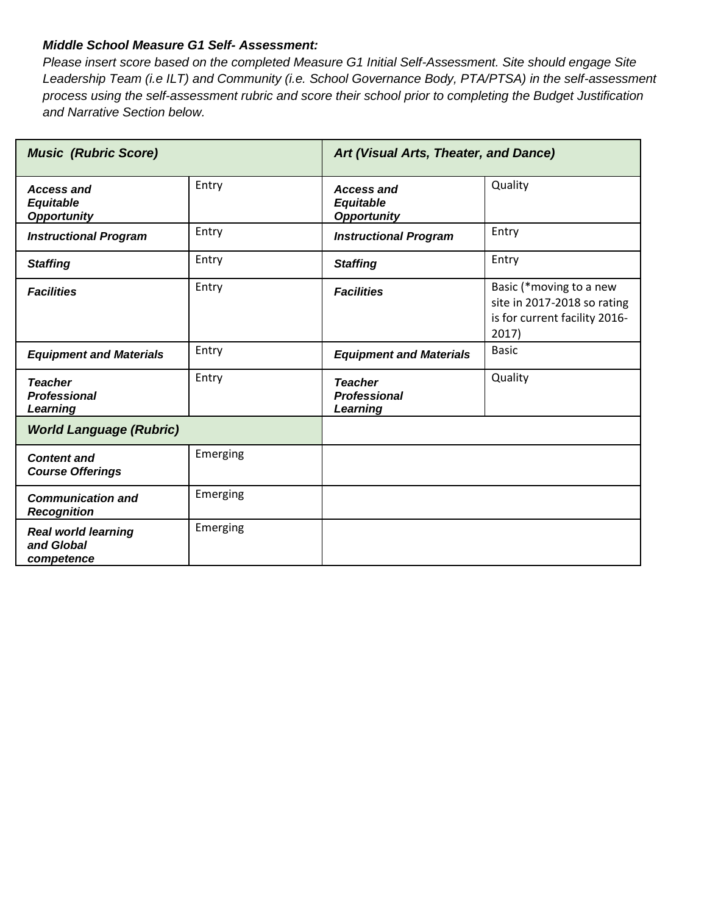#### *Middle School Measure G1 Self- Assessment:*

*Please insert score based on the completed Measure G1 Initial Self-Assessment. Site should engage Site Leadership Team (i.e ILT) and Community (i.e. School Governance Body, PTA/PTSA) in the self-assessment process using the self-assessment rubric and score their school prior to completing the Budget Justification and Narrative Section below.*

| <b>Music (Rubric Score)</b>                            |          | Art (Visual Arts, Theater, and Dance)                       |                                                                                                  |
|--------------------------------------------------------|----------|-------------------------------------------------------------|--------------------------------------------------------------------------------------------------|
| <b>Access and</b><br>Equitable<br><b>Opportunity</b>   | Entry    | <b>Access and</b><br><b>Equitable</b><br><b>Opportunity</b> | Quality                                                                                          |
| <b>Instructional Program</b>                           | Entry    | <b>Instructional Program</b>                                | Entry                                                                                            |
| <b>Staffing</b>                                        | Entry    | <b>Staffing</b>                                             | Entry                                                                                            |
| <b>Facilities</b>                                      | Entry    | <b>Facilities</b>                                           | Basic (*moving to a new<br>site in 2017-2018 so rating<br>is for current facility 2016-<br>2017) |
| <b>Equipment and Materials</b>                         | Entry    | <b>Equipment and Materials</b>                              | <b>Basic</b>                                                                                     |
| <b>Teacher</b><br><b>Professional</b><br>Learning      | Entry    | <b>Teacher</b><br><b>Professional</b><br>Learning           | Quality                                                                                          |
| <b>World Language (Rubric)</b>                         |          |                                                             |                                                                                                  |
| <b>Content and</b><br><b>Course Offerings</b>          | Emerging |                                                             |                                                                                                  |
| <b>Communication and</b><br><b>Recognition</b>         | Emerging |                                                             |                                                                                                  |
| <b>Real world learning</b><br>and Global<br>competence | Emerging |                                                             |                                                                                                  |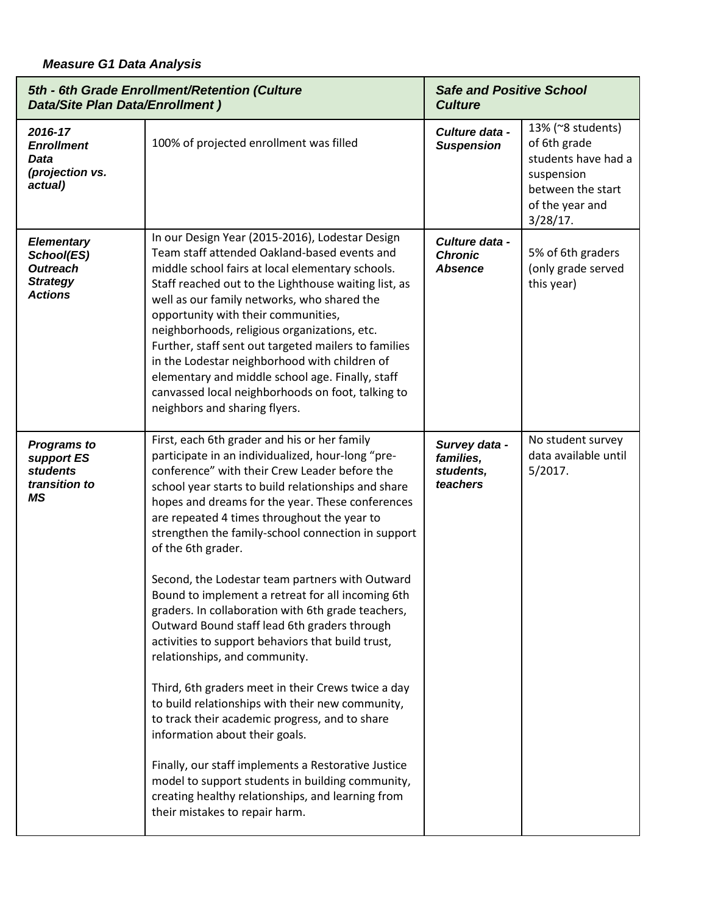| 5th - 6th Grade Enrollment/Retention (Culture<br><b>Data/Site Plan Data/Enrollment)</b> |                                                                                                                                                                                                                                                                                                                                                                                                                                                                                                                                                                                                                                                                                                                                                                                                                                                                                                                                                                                                                                                                                              | <b>Safe and Positive School</b><br><b>Culture</b>   |                                                                                                                               |
|-----------------------------------------------------------------------------------------|----------------------------------------------------------------------------------------------------------------------------------------------------------------------------------------------------------------------------------------------------------------------------------------------------------------------------------------------------------------------------------------------------------------------------------------------------------------------------------------------------------------------------------------------------------------------------------------------------------------------------------------------------------------------------------------------------------------------------------------------------------------------------------------------------------------------------------------------------------------------------------------------------------------------------------------------------------------------------------------------------------------------------------------------------------------------------------------------|-----------------------------------------------------|-------------------------------------------------------------------------------------------------------------------------------|
| 2016-17<br><b>Enrollment</b><br><b>Data</b><br>(projection vs.<br>actual)               | 100% of projected enrollment was filled                                                                                                                                                                                                                                                                                                                                                                                                                                                                                                                                                                                                                                                                                                                                                                                                                                                                                                                                                                                                                                                      | Culture data -<br><b>Suspension</b>                 | 13% (~8 students)<br>of 6th grade<br>students have had a<br>suspension<br>between the start<br>of the year and<br>$3/28/17$ . |
| <b>Elementary</b><br>School(ES)<br><b>Outreach</b><br><b>Strategy</b><br><b>Actions</b> | In our Design Year (2015-2016), Lodestar Design<br>Team staff attended Oakland-based events and<br>middle school fairs at local elementary schools.<br>Staff reached out to the Lighthouse waiting list, as<br>well as our family networks, who shared the<br>opportunity with their communities,<br>neighborhoods, religious organizations, etc.<br>Further, staff sent out targeted mailers to families<br>in the Lodestar neighborhood with children of<br>elementary and middle school age. Finally, staff<br>canvassed local neighborhoods on foot, talking to<br>neighbors and sharing flyers.                                                                                                                                                                                                                                                                                                                                                                                                                                                                                         | Culture data -<br><b>Chronic</b><br><b>Absence</b>  | 5% of 6th graders<br>(only grade served<br>this year)                                                                         |
| <b>Programs to</b><br>support ES<br>students<br>transition to<br>ΜS                     | First, each 6th grader and his or her family<br>participate in an individualized, hour-long "pre-<br>conference" with their Crew Leader before the<br>school year starts to build relationships and share<br>hopes and dreams for the year. These conferences<br>are repeated 4 times throughout the year to<br>strengthen the family-school connection in support<br>of the 6th grader.<br>Second, the Lodestar team partners with Outward<br>Bound to implement a retreat for all incoming 6th<br>graders. In collaboration with 6th grade teachers,<br>Outward Bound staff lead 6th graders through<br>activities to support behaviors that build trust,<br>relationships, and community.<br>Third, 6th graders meet in their Crews twice a day<br>to build relationships with their new community,<br>to track their academic progress, and to share<br>information about their goals.<br>Finally, our staff implements a Restorative Justice<br>model to support students in building community,<br>creating healthy relationships, and learning from<br>their mistakes to repair harm. | Survey data -<br>families,<br>students,<br>teachers | No student survey<br>data available until<br>5/2017.                                                                          |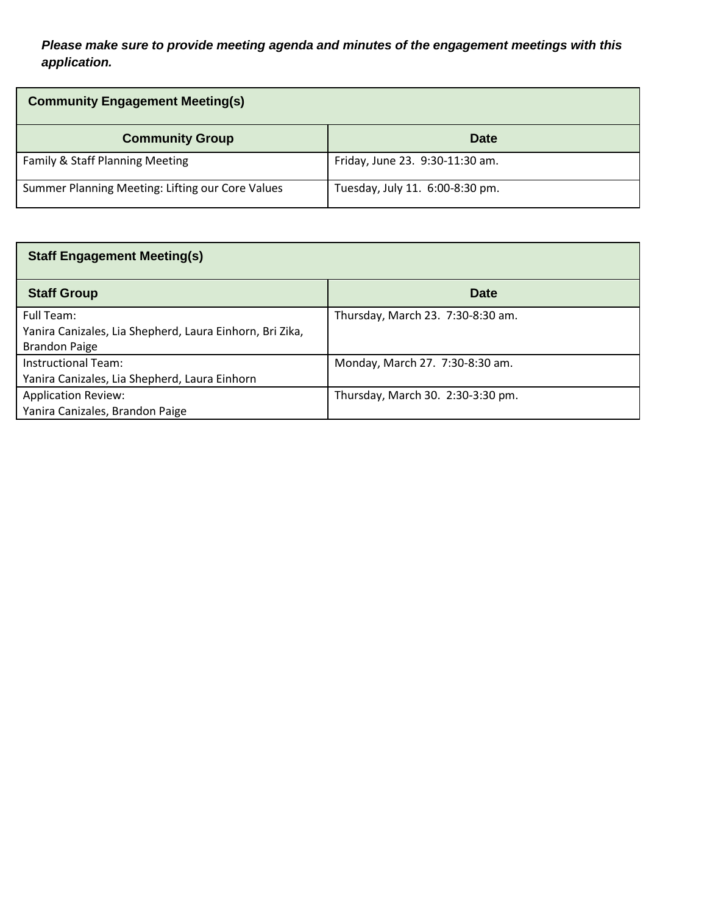### *Please make sure to provide meeting agenda and minutes of the engagement meetings with this application.*

| <b>Community Engagement Meeting(s)</b>           |                                 |  |
|--------------------------------------------------|---------------------------------|--|
| <b>Community Group</b>                           | <b>Date</b>                     |  |
| Family & Staff Planning Meeting                  | Friday, June 23. 9:30-11:30 am. |  |
| Summer Planning Meeting: Lifting our Core Values | Tuesday, July 11. 6:00-8:30 pm. |  |

| <b>Staff Engagement Meeting(s)</b>                                                             |                                   |  |
|------------------------------------------------------------------------------------------------|-----------------------------------|--|
| <b>Staff Group</b>                                                                             | <b>Date</b>                       |  |
| Full Team:<br>Yanira Canizales, Lia Shepherd, Laura Einhorn, Bri Zika,<br><b>Brandon Paige</b> | Thursday, March 23. 7:30-8:30 am. |  |
| Instructional Team:<br>Yanira Canizales, Lia Shepherd, Laura Einhorn                           | Monday, March 27. 7:30-8:30 am.   |  |
| <b>Application Review:</b><br>Yanira Canizales, Brandon Paige                                  | Thursday, March 30. 2:30-3:30 pm. |  |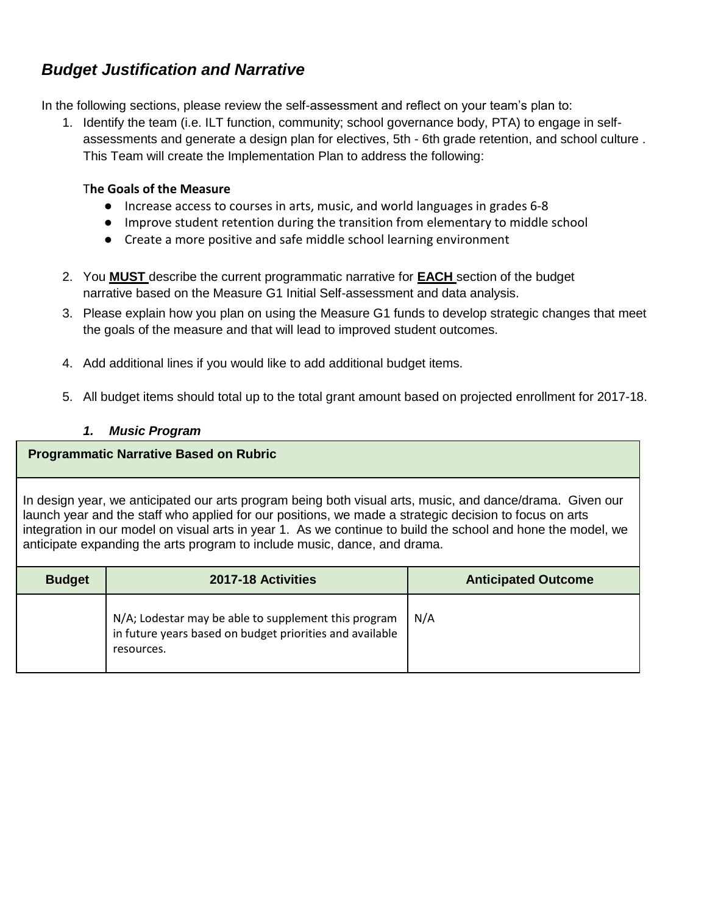### *Budget Justification and Narrative*

In the following sections, please review the self-assessment and reflect on your team's plan to:

1. Identify the team (i.e. ILT function, community; school governance body, PTA) to engage in selfassessments and generate a design plan for electives, 5th - 6th grade retention, and school culture . This Team will create the Implementation Plan to address the following:

#### T**he Goals of the Measure**

- Increase access to courses in arts, music, and world languages in grades 6-8
- Improve student retention during the transition from elementary to middle school
- Create a more positive and safe middle school learning environment
- 2. You **MUST** describe the current programmatic narrative for **EACH** section of the budget narrative based on the Measure G1 Initial Self-assessment and data analysis.
- 3. Please explain how you plan on using the Measure G1 funds to develop strategic changes that meet the goals of the measure and that will lead to improved student outcomes.
- 4. Add additional lines if you would like to add additional budget items.
- 5. All budget items should total up to the total grant amount based on projected enrollment for 2017-18.

#### *1. Music Program*

#### **Programmatic Narrative Based on Rubric**

In design year, we anticipated our arts program being both visual arts, music, and dance/drama. Given our launch year and the staff who applied for our positions, we made a strategic decision to focus on arts integration in our model on visual arts in year 1. As we continue to build the school and hone the model, we anticipate expanding the arts program to include music, dance, and drama.

| <b>Budget</b> | 2017-18 Activities                                                                                                             | <b>Anticipated Outcome</b> |
|---------------|--------------------------------------------------------------------------------------------------------------------------------|----------------------------|
|               | N/A; Lodestar may be able to supplement this program<br>in future years based on budget priorities and available<br>resources. | N/A                        |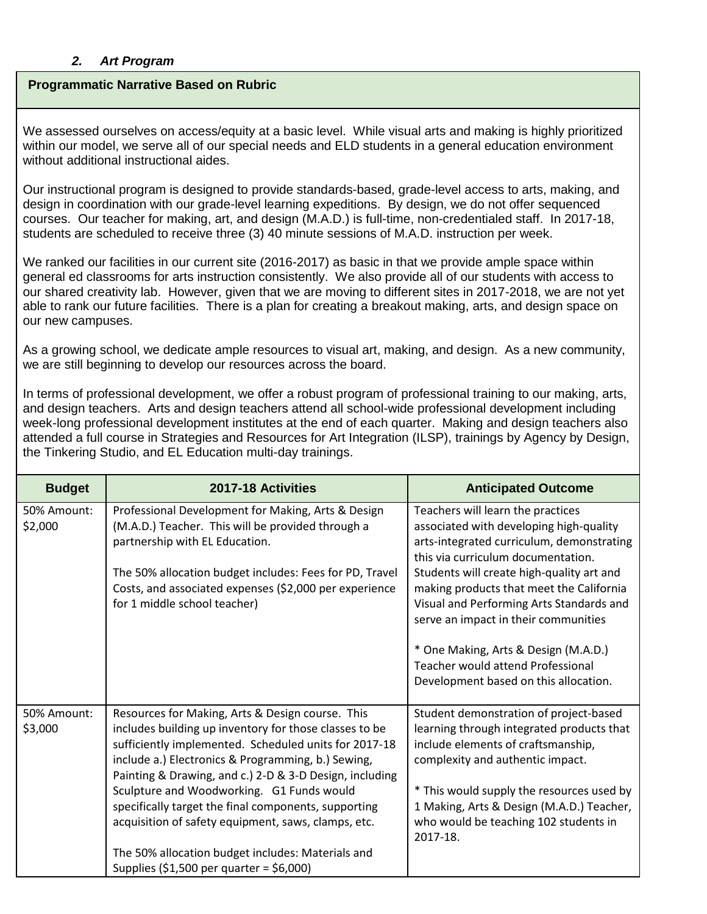#### *2. Art Program*

#### **Programmatic Narrative Based on Rubric**

We assessed ourselves on access/equity at a basic level. While visual arts and making is highly prioritized within our model, we serve all of our special needs and ELD students in a general education environment without additional instructional aides.

Our instructional program is designed to provide standards-based, grade-level access to arts, making, and design in coordination with our grade-level learning expeditions. By design, we do not offer sequenced courses. Our teacher for making, art, and design (M.A.D.) is full-time, non-credentialed staff. In 2017-18, students are scheduled to receive three (3) 40 minute sessions of M.A.D. instruction per week.

We ranked our facilities in our current site (2016-2017) as basic in that we provide ample space within general ed classrooms for arts instruction consistently. We also provide all of our students with access to our shared creativity lab. However, given that we are moving to different sites in 2017-2018, we are not yet able to rank our future facilities. There is a plan for creating a breakout making, arts, and design space on our new campuses.

As a growing school, we dedicate ample resources to visual art, making, and design. As a new community, we are still beginning to develop our resources across the board.

In terms of professional development, we offer a robust program of professional training to our making, arts, and design teachers. Arts and design teachers attend all school-wide professional development including week-long professional development institutes at the end of each quarter. Making and design teachers also attended a full course in Strategies and Resources for Art Integration (ILSP), trainings by Agency by Design, the Tinkering Studio, and EL Education multi-day trainings.

| <b>Budget</b>          | 2017-18 Activities                                                                                                                                                                                                                                                                                                                                                                                                                                                                                                                                | <b>Anticipated Outcome</b>                                                                                                                                                                                                                                                                                                                                                                                                                                         |
|------------------------|---------------------------------------------------------------------------------------------------------------------------------------------------------------------------------------------------------------------------------------------------------------------------------------------------------------------------------------------------------------------------------------------------------------------------------------------------------------------------------------------------------------------------------------------------|--------------------------------------------------------------------------------------------------------------------------------------------------------------------------------------------------------------------------------------------------------------------------------------------------------------------------------------------------------------------------------------------------------------------------------------------------------------------|
| 50% Amount:<br>\$2,000 | Professional Development for Making, Arts & Design<br>(M.A.D.) Teacher. This will be provided through a<br>partnership with EL Education.<br>The 50% allocation budget includes: Fees for PD, Travel<br>Costs, and associated expenses (\$2,000 per experience<br>for 1 middle school teacher)                                                                                                                                                                                                                                                    | Teachers will learn the practices<br>associated with developing high-quality<br>arts-integrated curriculum, demonstrating<br>this via curriculum documentation.<br>Students will create high-quality art and<br>making products that meet the California<br>Visual and Performing Arts Standards and<br>serve an impact in their communities<br>* One Making, Arts & Design (M.A.D.)<br>Teacher would attend Professional<br>Development based on this allocation. |
| 50% Amount:<br>\$3,000 | Resources for Making, Arts & Design course. This<br>includes building up inventory for those classes to be<br>sufficiently implemented. Scheduled units for 2017-18<br>include a.) Electronics & Programming, b.) Sewing,<br>Painting & Drawing, and c.) 2-D & 3-D Design, including<br>Sculpture and Woodworking. G1 Funds would<br>specifically target the final components, supporting<br>acquisition of safety equipment, saws, clamps, etc.<br>The 50% allocation budget includes: Materials and<br>Supplies (\$1,500 per quarter = \$6,000) | Student demonstration of project-based<br>learning through integrated products that<br>include elements of craftsmanship,<br>complexity and authentic impact.<br>* This would supply the resources used by<br>1 Making, Arts & Design (M.A.D.) Teacher,<br>who would be teaching 102 students in<br>2017-18.                                                                                                                                                       |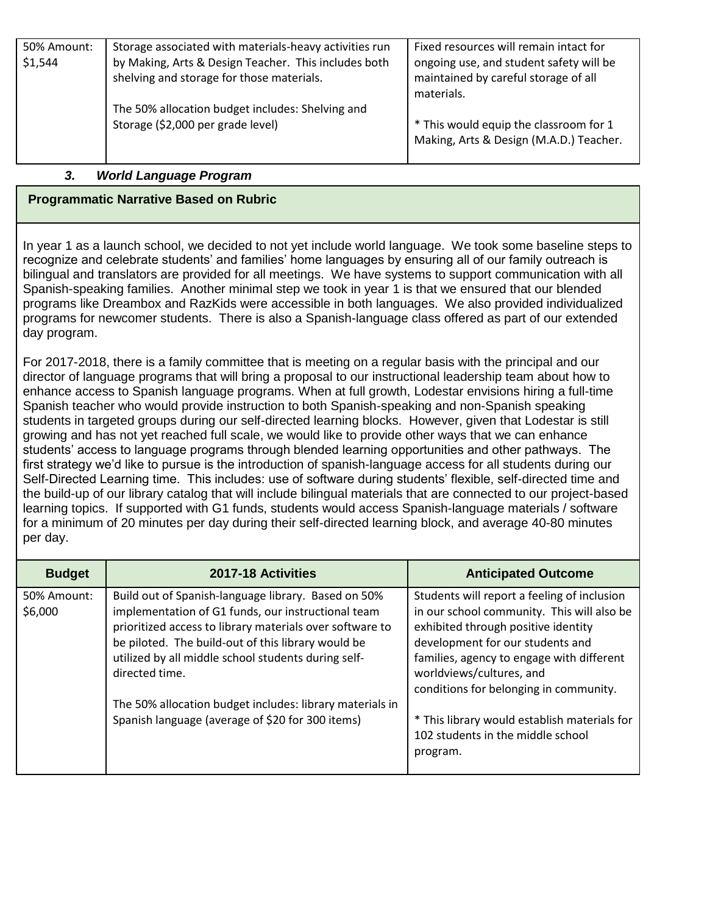| 50% Amount: | Storage associated with materials-heavy activities run | Fixed resources will remain intact for  |
|-------------|--------------------------------------------------------|-----------------------------------------|
| \$1,544     | by Making, Arts & Design Teacher. This includes both   | ongoing use, and student safety will be |
|             | shelving and storage for those materials.              | maintained by careful storage of all    |
|             |                                                        | materials.                              |
|             | The 50% allocation budget includes: Shelving and       |                                         |
|             | Storage (\$2,000 per grade level)                      | * This would equip the classroom for 1  |
|             |                                                        | Making, Arts & Design (M.A.D.) Teacher. |
|             |                                                        |                                         |

#### *3. World Language Program*

#### **Programmatic Narrative Based on Rubric**

In year 1 as a launch school, we decided to not yet include world language. We took some baseline steps to recognize and celebrate students' and families' home languages by ensuring all of our family outreach is bilingual and translators are provided for all meetings. We have systems to support communication with all Spanish-speaking families. Another minimal step we took in year 1 is that we ensured that our blended programs like Dreambox and RazKids were accessible in both languages. We also provided individualized programs for newcomer students. There is also a Spanish-language class offered as part of our extended day program.

For 2017-2018, there is a family committee that is meeting on a regular basis with the principal and our director of language programs that will bring a proposal to our instructional leadership team about how to enhance access to Spanish language programs. When at full growth, Lodestar envisions hiring a full-time Spanish teacher who would provide instruction to both Spanish-speaking and non-Spanish speaking students in targeted groups during our self-directed learning blocks. However, given that Lodestar is still growing and has not yet reached full scale, we would like to provide other ways that we can enhance students' access to language programs through blended learning opportunities and other pathways. The first strategy we'd like to pursue is the introduction of spanish-language access for all students during our Self-Directed Learning time. This includes: use of software during students' flexible, self-directed time and the build-up of our library catalog that will include bilingual materials that are connected to our project-based learning topics. If supported with G1 funds, students would access Spanish-language materials / software for a minimum of 20 minutes per day during their self-directed learning block, and average 40-80 minutes per day.

| <b>Budget</b>          | 2017-18 Activities                                                                                                                                                                                                                                                                                   | <b>Anticipated Outcome</b>                                                                                                                                                                                                                    |
|------------------------|------------------------------------------------------------------------------------------------------------------------------------------------------------------------------------------------------------------------------------------------------------------------------------------------------|-----------------------------------------------------------------------------------------------------------------------------------------------------------------------------------------------------------------------------------------------|
| 50% Amount:<br>\$6,000 | Build out of Spanish-language library. Based on 50%<br>implementation of G1 funds, our instructional team<br>prioritized access to library materials over software to<br>be piloted. The build-out of this library would be<br>utilized by all middle school students during self-<br>directed time. | Students will report a feeling of inclusion<br>in our school community. This will also be<br>exhibited through positive identity<br>development for our students and<br>families, agency to engage with different<br>worldviews/cultures, and |
|                        | The 50% allocation budget includes: library materials in<br>Spanish language (average of \$20 for 300 items)                                                                                                                                                                                         | conditions for belonging in community.<br>* This library would establish materials for<br>102 students in the middle school<br>program.                                                                                                       |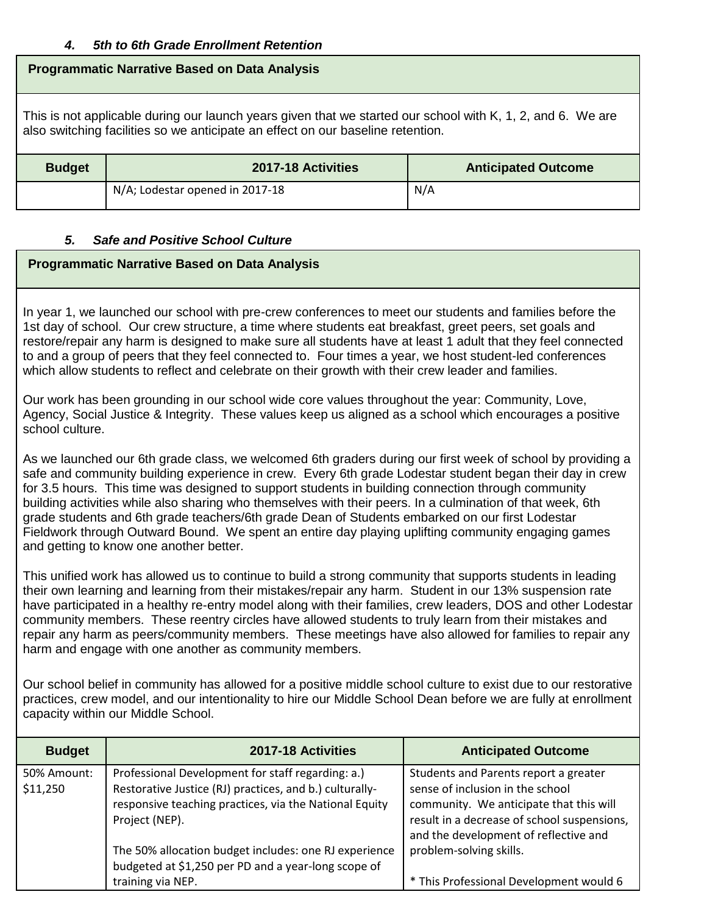#### *4. 5th to 6th Grade Enrollment Retention*

#### **Programmatic Narrative Based on Data Analysis**

This is not applicable during our launch years given that we started our school with K, 1, 2, and 6. We are also switching facilities so we anticipate an effect on our baseline retention.

| <b>Budget</b> | 2017-18 Activities              | <b>Anticipated Outcome</b> |  |
|---------------|---------------------------------|----------------------------|--|
|               | N/A; Lodestar opened in 2017-18 | N/A                        |  |

#### *5. Safe and Positive School Culture*

#### **Programmatic Narrative Based on Data Analysis**

In year 1, we launched our school with pre-crew conferences to meet our students and families before the 1st day of school. Our crew structure, a time where students eat breakfast, greet peers, set goals and restore/repair any harm is designed to make sure all students have at least 1 adult that they feel connected to and a group of peers that they feel connected to. Four times a year, we host student-led conferences which allow students to reflect and celebrate on their growth with their crew leader and families.

Our work has been grounding in our school wide core values throughout the year: Community, Love, Agency, Social Justice & Integrity. These values keep us aligned as a school which encourages a positive school culture.

As we launched our 6th grade class, we welcomed 6th graders during our first week of school by providing a safe and community building experience in crew. Every 6th grade Lodestar student began their day in crew for 3.5 hours. This time was designed to support students in building connection through community building activities while also sharing who themselves with their peers. In a culmination of that week, 6th grade students and 6th grade teachers/6th grade Dean of Students embarked on our first Lodestar Fieldwork through Outward Bound. We spent an entire day playing uplifting community engaging games and getting to know one another better.

This unified work has allowed us to continue to build a strong community that supports students in leading their own learning and learning from their mistakes/repair any harm. Student in our 13% suspension rate have participated in a healthy re-entry model along with their families, crew leaders, DOS and other Lodestar community members. These reentry circles have allowed students to truly learn from their mistakes and repair any harm as peers/community members. These meetings have also allowed for families to repair any harm and engage with one another as community members.

Our school belief in community has allowed for a positive middle school culture to exist due to our restorative practices, crew model, and our intentionality to hire our Middle School Dean before we are fully at enrollment capacity within our Middle School.

| <b>Budget</b>           | 2017-18 Activities                                                                                                                                                                       | <b>Anticipated Outcome</b>                                                                                                                                                                                   |
|-------------------------|------------------------------------------------------------------------------------------------------------------------------------------------------------------------------------------|--------------------------------------------------------------------------------------------------------------------------------------------------------------------------------------------------------------|
| 50% Amount:<br>\$11,250 | Professional Development for staff regarding: a.)<br>Restorative Justice (RJ) practices, and b.) culturally-<br>responsive teaching practices, via the National Equity<br>Project (NEP). | Students and Parents report a greater<br>sense of inclusion in the school<br>community. We anticipate that this will<br>result in a decrease of school suspensions,<br>and the development of reflective and |
|                         | The 50% allocation budget includes: one RJ experience<br>budgeted at \$1,250 per PD and a year-long scope of<br>training via NEP.                                                        | problem-solving skills.<br>* This Professional Development would 6                                                                                                                                           |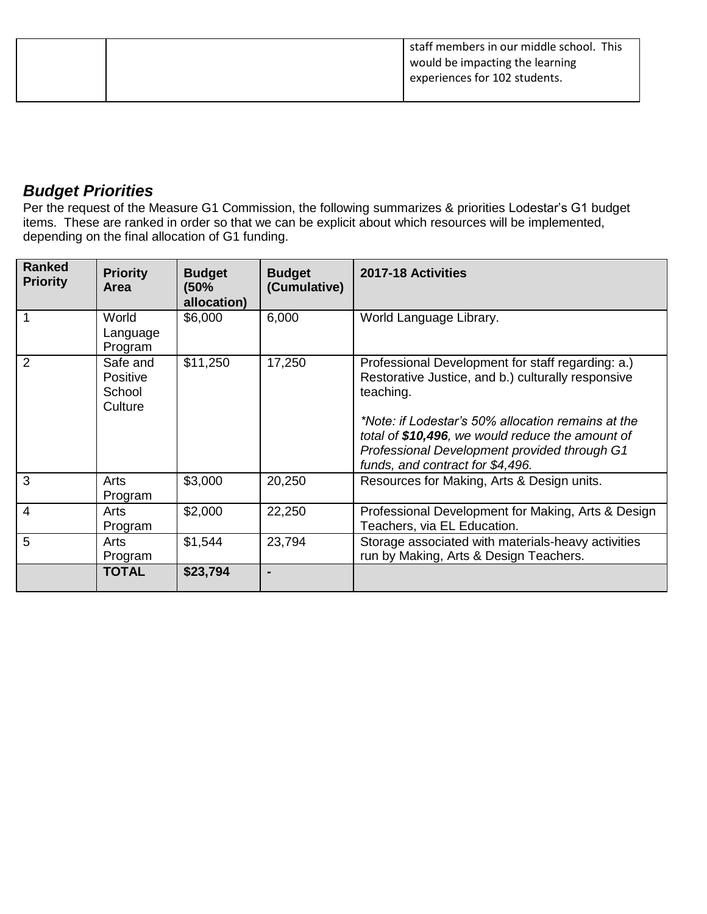|  | staff members in our middle school. This |
|--|------------------------------------------|
|  | would be impacting the learning          |
|  | experiences for 102 students.            |
|  |                                          |

### *Budget Priorities*

Per the request of the Measure G1 Commission, the following summarizes & priorities Lodestar's G1 budget items. These are ranked in order so that we can be explicit about which resources will be implemented, depending on the final allocation of G1 funding.

| <b>Ranked</b><br><b>Priority</b> | <b>Priority</b><br>Area                          | <b>Budget</b><br>(50%<br>allocation) | <b>Budget</b><br>(Cumulative) | 2017-18 Activities                                                                                                                                                                                                                                                                                                 |
|----------------------------------|--------------------------------------------------|--------------------------------------|-------------------------------|--------------------------------------------------------------------------------------------------------------------------------------------------------------------------------------------------------------------------------------------------------------------------------------------------------------------|
| 1                                | World<br>Language<br>Program                     | \$6,000                              | 6,000                         | World Language Library.                                                                                                                                                                                                                                                                                            |
| $\overline{2}$                   | Safe and<br><b>Positive</b><br>School<br>Culture | \$11,250                             | 17,250                        | Professional Development for staff regarding: a.)<br>Restorative Justice, and b.) culturally responsive<br>teaching.<br>*Note: if Lodestar's 50% allocation remains at the<br>total of \$10,496, we would reduce the amount of<br>Professional Development provided through G1<br>funds, and contract for \$4,496. |
| 3                                | Arts<br>Program                                  | \$3,000                              | 20,250                        | Resources for Making, Arts & Design units.                                                                                                                                                                                                                                                                         |
| $\overline{4}$                   | Arts<br>Program                                  | \$2,000                              | 22,250                        | Professional Development for Making, Arts & Design<br>Teachers, via EL Education.                                                                                                                                                                                                                                  |
| 5                                | Arts<br>Program                                  | \$1,544                              | 23,794                        | Storage associated with materials-heavy activities<br>run by Making, Arts & Design Teachers.                                                                                                                                                                                                                       |
|                                  | <b>TOTAL</b>                                     | \$23,794                             |                               |                                                                                                                                                                                                                                                                                                                    |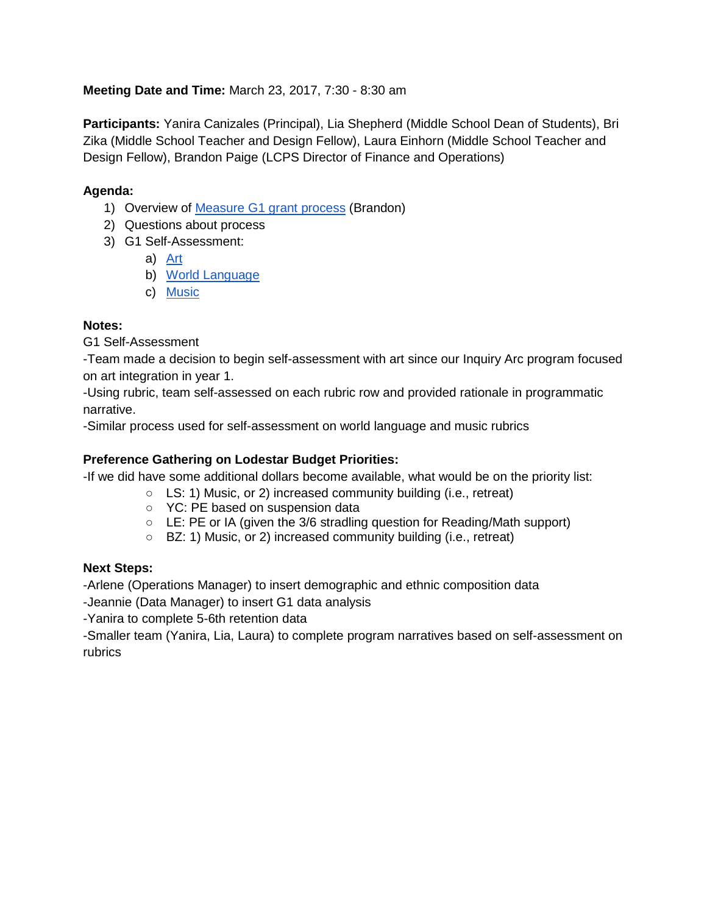#### **Meeting Date and Time:** March 23, 2017, 7:30 - 8:30 am

**Participants:** Yanira Canizales (Principal), Lia Shepherd (Middle School Dean of Students), Bri Zika (Middle School Teacher and Design Fellow), Laura Einhorn (Middle School Teacher and Design Fellow), Brandon Paige (LCPS Director of Finance and Operations)

#### **Agenda:**

- 1) Overview of [Measure G1 grant process](https://docs.google.com/presentation/d/1jY4E-waGjZW3cBLCH-wrK2D5tbRUxWSmgSsQKBdWZOk/edit) (Brandon)
- 2) Questions about process
- 3) G1 Self-Assessment:
	- a) [Art](https://drive.google.com/drive/folders/0B--u3cuJua6dc2pjUjZSSHItakk)
	- b) [World Language](https://drive.google.com/drive/folders/0B--u3cuJua6dc2pjUjZSSHItakk)
	- c) [Music](https://drive.google.com/drive/folders/0B--u3cuJua6dc2pjUjZSSHItakk)

#### **Notes:**

G1 Self-Assessment

-Team made a decision to begin self-assessment with art since our Inquiry Arc program focused on art integration in year 1.

-Using rubric, team self-assessed on each rubric row and provided rationale in programmatic narrative.

-Similar process used for self-assessment on world language and music rubrics

#### **Preference Gathering on Lodestar Budget Priorities:**

-If we did have some additional dollars become available, what would be on the priority list:

- LS: 1) Music, or 2) increased community building (i.e., retreat)
- YC: PE based on suspension data
- LE: PE or IA (given the 3/6 stradling question for Reading/Math support)
- BZ: 1) Music, or 2) increased community building (i.e., retreat)

#### **Next Steps:**

-Arlene (Operations Manager) to insert demographic and ethnic composition data

-Jeannie (Data Manager) to insert G1 data analysis

-Yanira to complete 5-6th retention data

-Smaller team (Yanira, Lia, Laura) to complete program narratives based on self-assessment on rubrics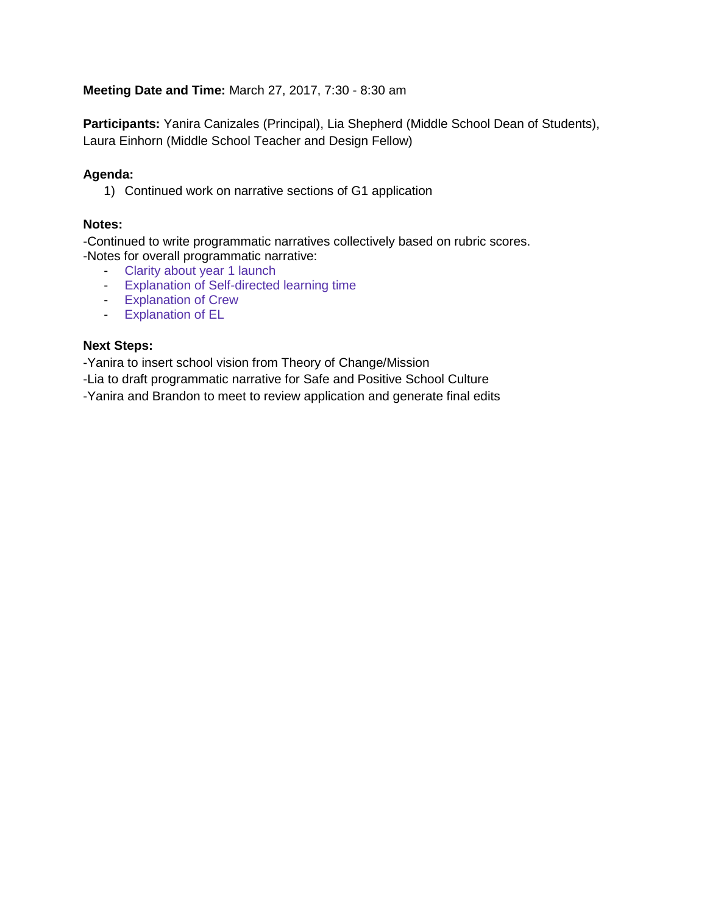#### **Meeting Date and Time:** March 27, 2017, 7:30 - 8:30 am

**Participants:** Yanira Canizales (Principal), Lia Shepherd (Middle School Dean of Students), Laura Einhorn (Middle School Teacher and Design Fellow)

#### **Agenda:**

1) Continued work on narrative sections of G1 application

#### **Notes:**

-Continued to write programmatic narratives collectively based on rubric scores. -Notes for overall programmatic narrative:

- Clarity about year 1 launch
- Explanation of Self-directed learning time
- Explanation of Crew
- Explanation of EL

#### **Next Steps:**

-Yanira to insert school vision from Theory of Change/Mission

-Lia to draft programmatic narrative for Safe and Positive School Culture

-Yanira and Brandon to meet to review application and generate final edits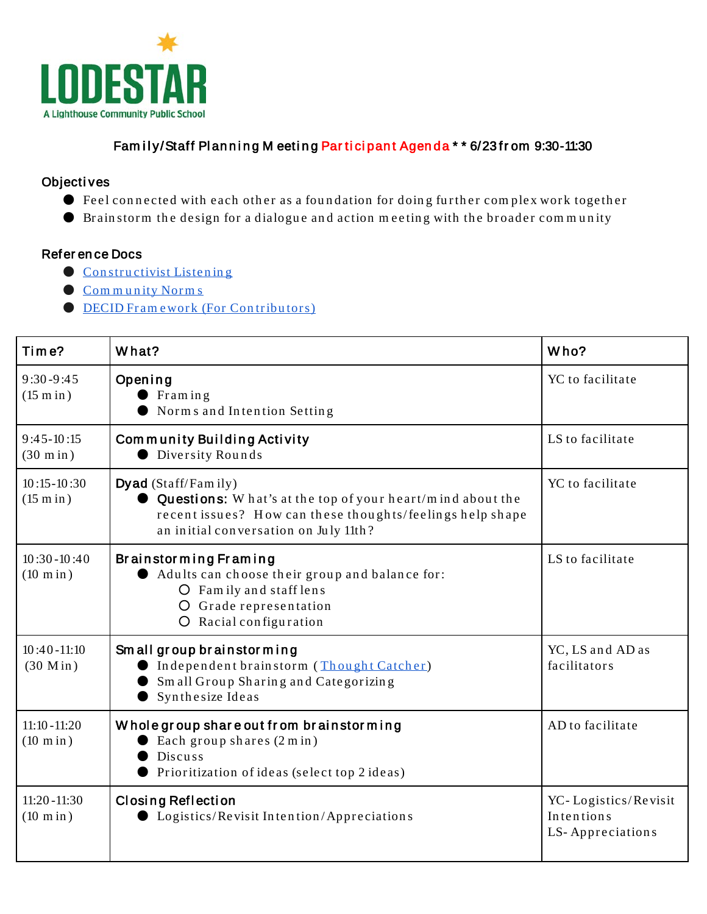

#### Fam ily/Staff Planning M eeting Participant Agenda \* \* 6/23 from 9:30-11:30

#### Objecti ves

- Feel connected with each other as a foundation for doing further complex work together
- Brain storm the design for a dialogue and action meeting with the broader community

#### Refer en ce Docs

- Constructivist Listening
- [Com m unity Norm s](https://docs.google.com/a/lighthousecharter.org/document/d/1Cx53oeQICQ6g7L1h9scxZXrYb97XR1VVSZ-Qpj0NQRA/edit?usp=sharing)
- **DECID Framework** (For Contributors)

| Time?                                 | What?                                                                                                                                                                                   | Who?                                                   |
|---------------------------------------|-----------------------------------------------------------------------------------------------------------------------------------------------------------------------------------------|--------------------------------------------------------|
| $9:30 - 9:45$<br>$(15 \text{ min})$   | Opening<br>$\Gamma$ Fram in g<br>Norms and Intention Setting                                                                                                                            | YC to facilitate                                       |
| $9:45-10:15$<br>$(30 \text{ min})$    | Community Building Activity<br><b>O</b> Diversity Rounds                                                                                                                                | LS to facilitate                                       |
| $10:15 - 10:30$<br>$(15 \text{ min})$ | Dyad (Staff/Family)<br>Questions: W hat's at the top of your heart/mind about the<br>recent issues? How can these thoughts/feelings help shape<br>an initial conversation on July 11th? | YC to facilitate                                       |
| $10:30 - 10:40$<br>$(10 \text{ min})$ | Brainstorming Framing<br>Adults can choose their group and balance for:<br>O Family and staff lens<br>O Grade representation<br>O Racial configuration                                  | LS to facilitate                                       |
| $10:40 - 11:10$<br>$(30 \text{ Min})$ | Small group brainstorming<br>Independent brainstorm (Thought Catcher)<br>Small Group Sharing and Categorizing<br>Synthesize Ideas                                                       | YC, LS and AD as<br>facilitators                       |
| $11:10 - 11:20$<br>$(10 \text{ min})$ | Whole group share out from brainstorming<br>Each group shares (2 m in)<br>Discuss<br>Prioritization of ideas (select top 2 ideas)                                                       | AD to facilitate                                       |
| $11:20 - 11:30$<br>$(10 \text{ min})$ | <b>Closing Reflection</b><br><b>Logistics/Revisit Intention/Appreciations</b>                                                                                                           | YC-Logistics/Revisit<br>Intentions<br>LS-Appreciations |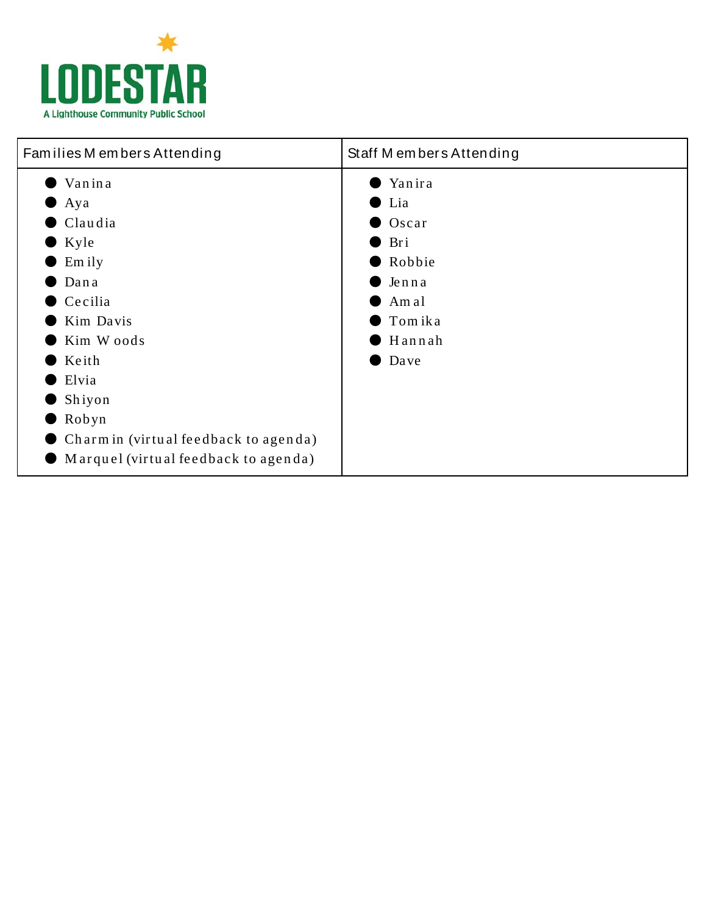

| Families M embers Attending                                                                                                                                          | Staff Members Attending                                                                                         |  |
|----------------------------------------------------------------------------------------------------------------------------------------------------------------------|-----------------------------------------------------------------------------------------------------------------|--|
| Vanina<br>$\bullet$ Aya<br>$\bullet$ Claudia<br>$\bullet$ Kyle<br>Em ily<br>Dana<br>$\bullet$ Cecilia<br>Kim Davis<br>Kim Woods<br>Keith<br>Elvia<br>Shiyon<br>Robyn | Yanira<br>$\bullet$ Lia<br>Oscar<br>Bri<br>Robbie<br>Jenna<br>Am al<br>$\blacksquare$ Tom ika<br>Hannah<br>Dave |  |
| $\bullet$ Charm in (virtual feedback to agenda)<br>$\bullet$ Marquel (virtual feedback to agenda)                                                                    |                                                                                                                 |  |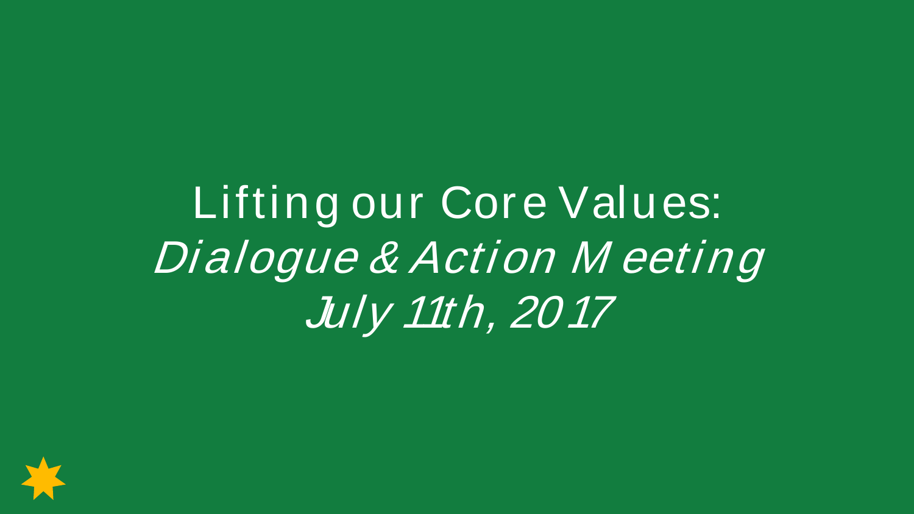Lifting our Core Values: Dialogue & Action Meeting July 11th, 2017

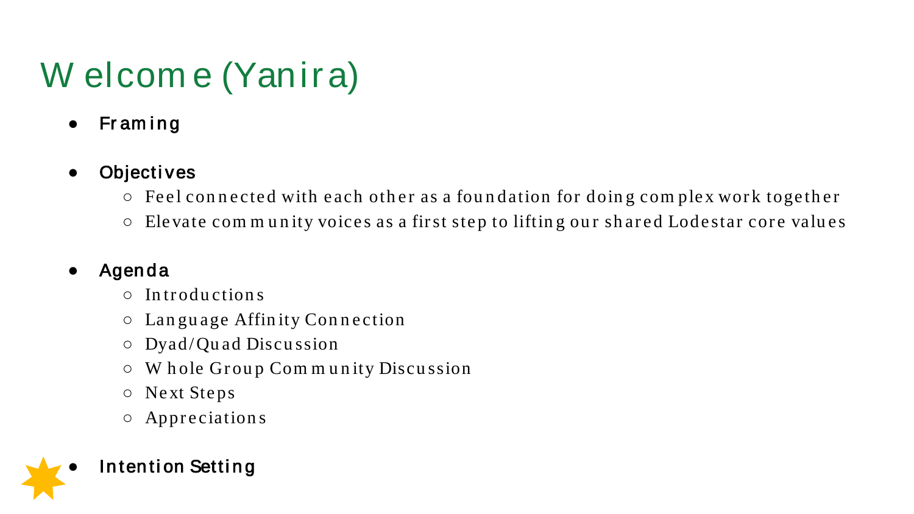# W elcome (Yanira)

Framing  $\bullet$ 

### Objectives

- Feel connected with each other as a foundation for doing complex work together
- Elevate community voices as a first step to lifting our shared Lodestar core values

### Agenda

- $\circ$  Introductions
- $\circ$  Language Affinity Connection
- $\circ$  Dyad/Quad Discussion
- Whole Group Community Discussion  $\bigcirc$
- O Next Steps
- $\circ$  Appreciations

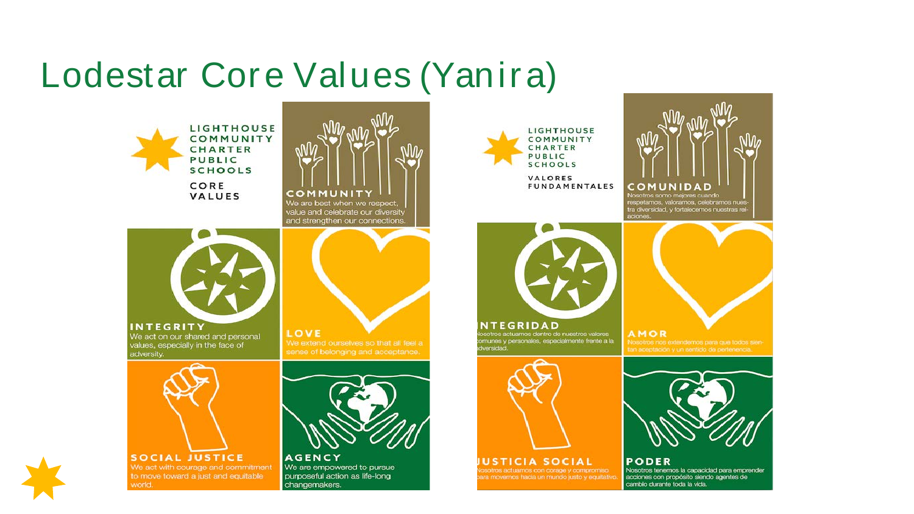### Lodestar Core Values (Yanira)



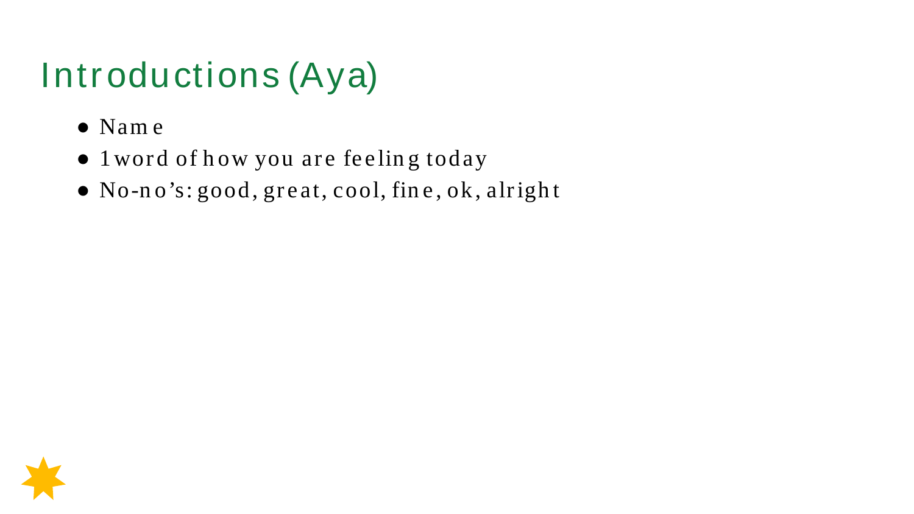## Introductions (Aya)

- $\bullet$  Name
- 1 word of how you are feeling today
- . No-no's: good, great, cool, fine, ok, alright

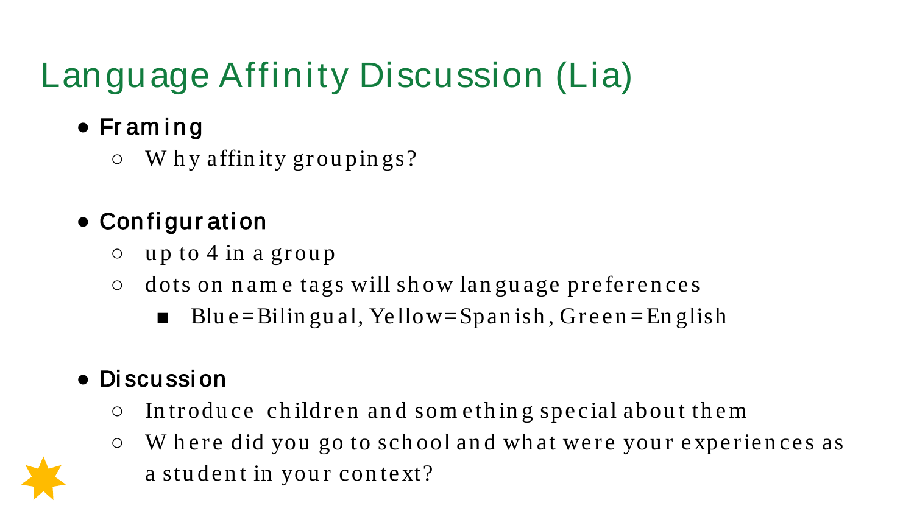# Language Affinity Discussion (Lia)

- Fr am i n g
	- $\circ$  W h y affinity groupings?

### ● Configur ation

- up to 4 in a group
- dots on n am e tags will sh ow lan gu age preferen ces
	- Blue = Bilin gu al, Yellow = Span ish, Green = English

### ● Di scussi on

- In troduce children an d som ethin g special about them
- W h ere did you go to sch ool an d wh at were you r experien ces as a student in your context?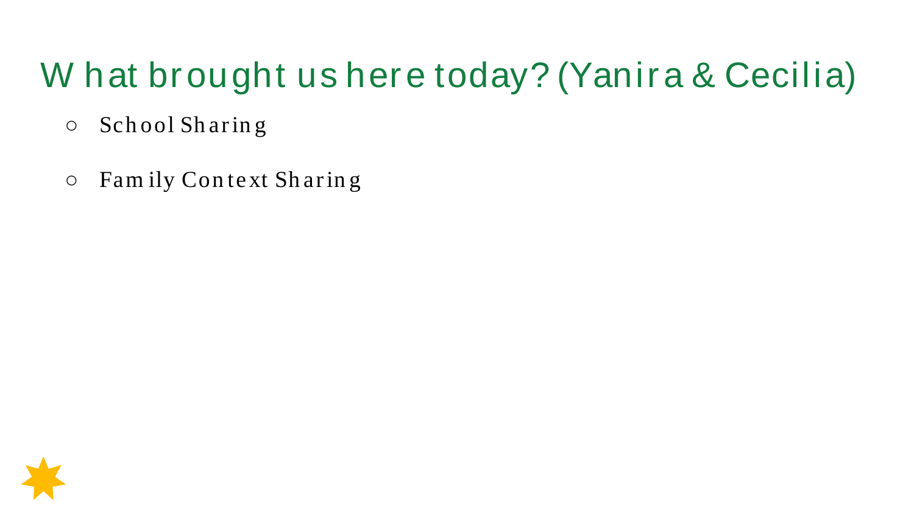### W hat brought us here today? (Yanira & Cecilia)

- School Sharing  $\bigcirc$
- Family Context Sharing  $\bigcirc$

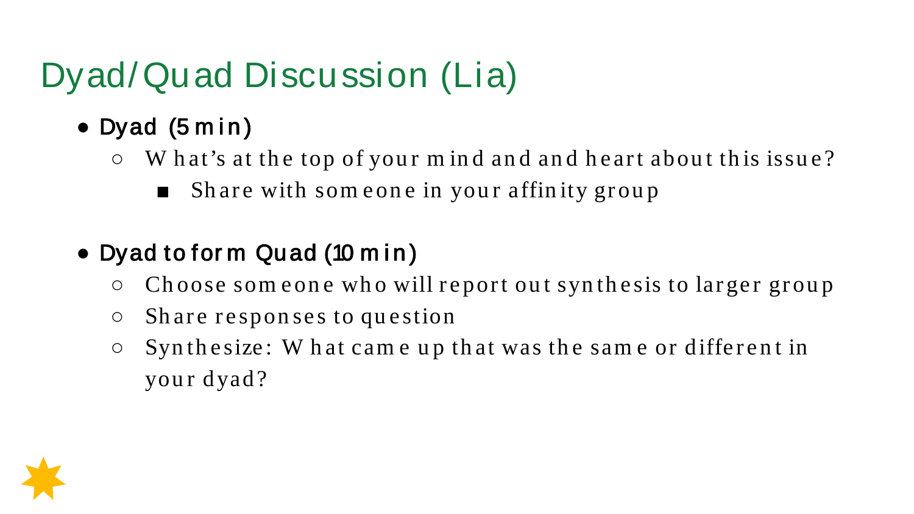# Dyad/Quad Discussion (Lia)

- $\bullet$  Dyad (5 min)
	- $\circ$  W hat's at the top of your m ind and and heart about this issue?
		- Share with some one in your affinity group
- Dyad to form Quad (10 min)
	- Choose som eone who will report out synthesis to larger group
	- Share respon ses to question
	- $\circ$  Syn the size: W hat came up that was the same or different in your dyad?

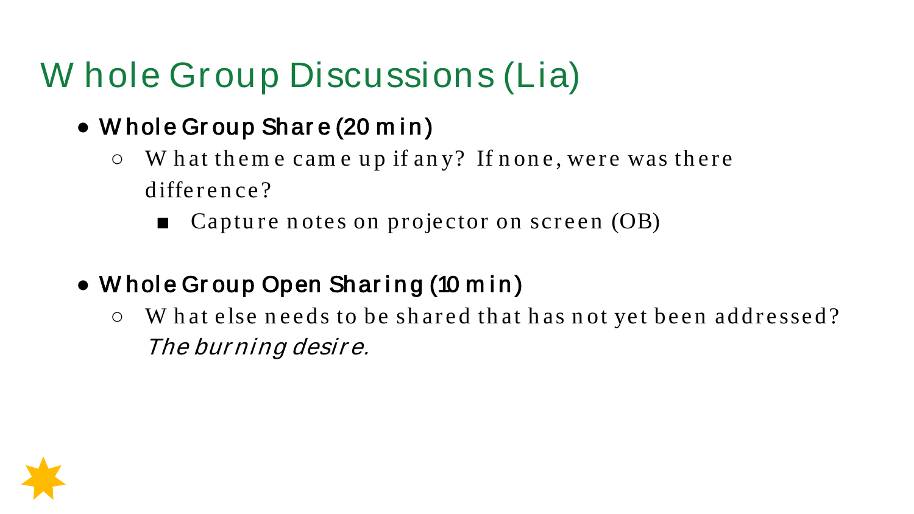## W hole Group Discussions (Lia)

- Whole Group Share (20 min)
	- W h at th em e cam e u p if an y? If n on e, were was th ere difference?
		- $\blacksquare$  Capture notes on projector on screen (OB)
- Whole Group Open Sharing (10 min)
	- W hat else needs to be shared that has not yet been addressed? The bur ning desir e.

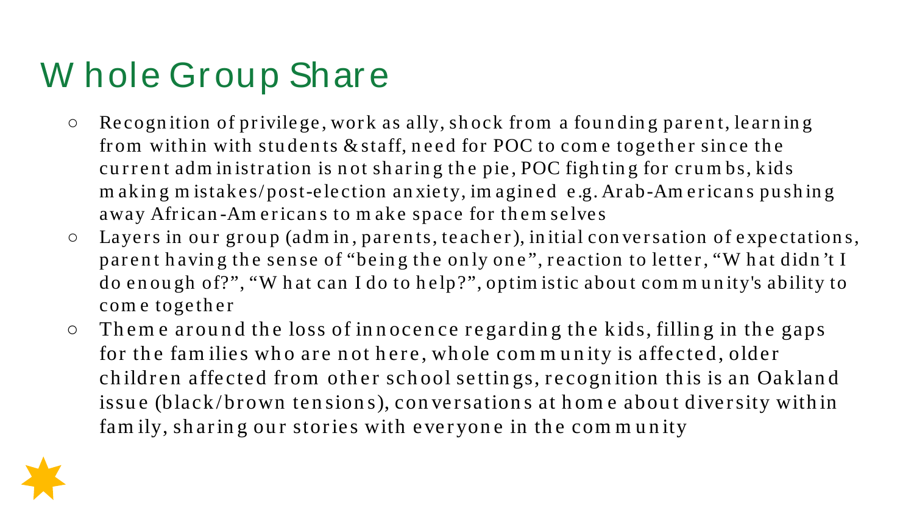## W hole Group Share

- Recogn ition of privilege, work as ally, sh ock from a fou n din g paren t, learn in g from within with students  $&$  staff, need for POC to come together since the current adm in istration is not sharing the pie, POC fighting for crumbs, kids m aking m istakes/post-election anxiety, imagined e.g. Arab-Americans pushing away African-Am ericans to make space for them selves
- Layers in ou r grou p (adm in , paren ts, teach er), in itial con versation of expectation s, par ent having the sense of "being the only one", reaction to letter, "W hat didn't I do enough of?", "W hat can I do to help?", optim istic about community's ability to com e together
- $\circ$  Theme around the loss of innocence regarding the kids, filling in the gaps for the families who are not here, whole community is affected, older children affected from other school settings, recognition this is an Oakland issue (black/brown tensions), conversations at home about diversity within fam ily, sharing our stories with everyone in the community

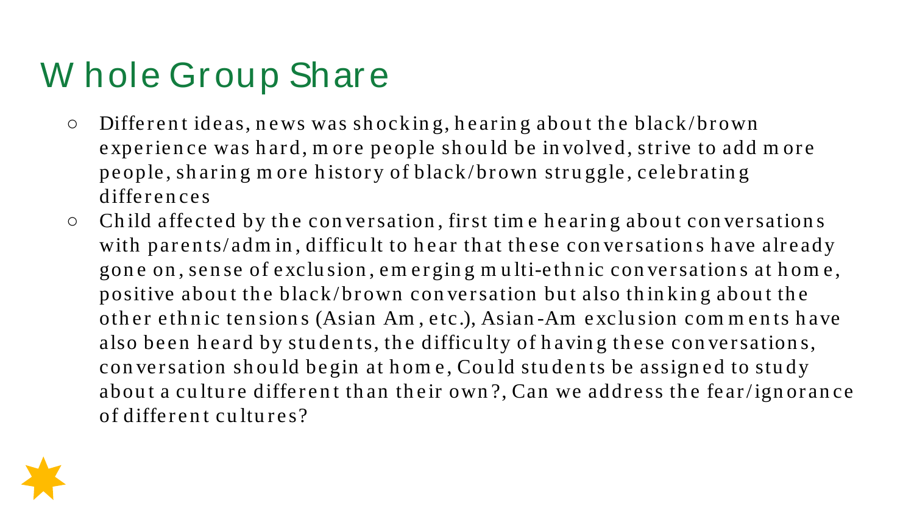## W hole Group Share

- Differen t ideas, n ews was sh ockin g, h earin g abou t th e black/brown experien ce was h ard, m ore people sh ou ld be in volved, strive to add m ore people, sh arin g m ore h istory of black/brown stru ggle, celebratin g differen ces
- Ch ild affected by th e con versation , first tim e h earin g abou t con versation s with parents/adm in, difficult to hear that these conversations have already gon e on , sen se of exclu sion , em ergin g m u lti-eth n ic con versation s at h om e, positive about the black/brown conversation but also thinking about the other ethnic tensions (Asian Am, etc.), Asian-Am exclusion comments have also been heard by students, the difficulty of having these conversations, con versation sh ou ld begin at h om e, Cou ld stu den ts be assign ed to stu dy about a culture different than their own?, Can we address the fear/ignorance of differen t cu ltu res?

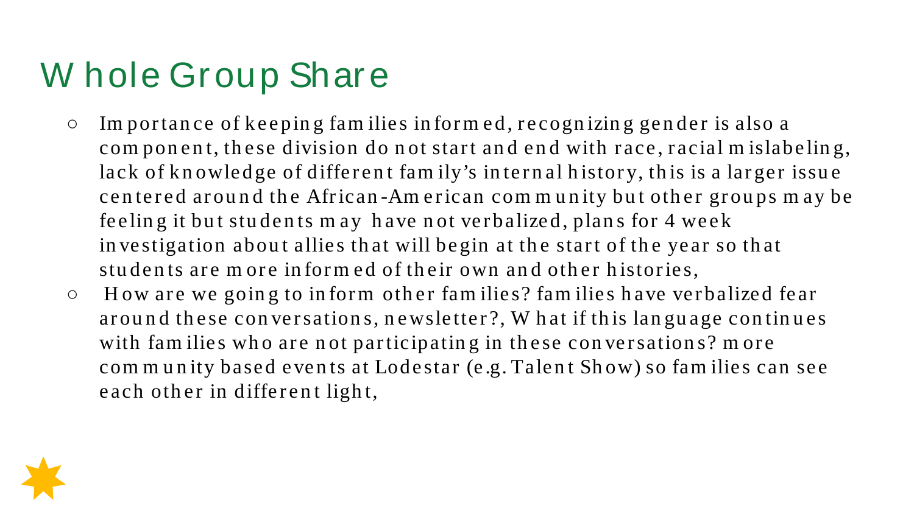## W hole Group Share

- Im por tan ce of keepin g fam ilies in for m ed, r ecogn izin g gen der is also a com pon ent, these division do not start and end with race, racial m islabeling, lack of knowledge of different family's internal history, this is a larger issue centered around the African-American community but other groups may be feeling it but students may have not verbalized, plans for 4 week in vestigation about allies that will begin at the start of the year so that students are more informed of their own and other histories,
- $\circ$  How are we going to inform other families? families have verbalized fear around these conversations, newsletter?, W hat if this language continues with fam ilies who are not participating in these conversations? more com munity based events at Lodestar (e.g. Talent Show) so families can see each other in different light,

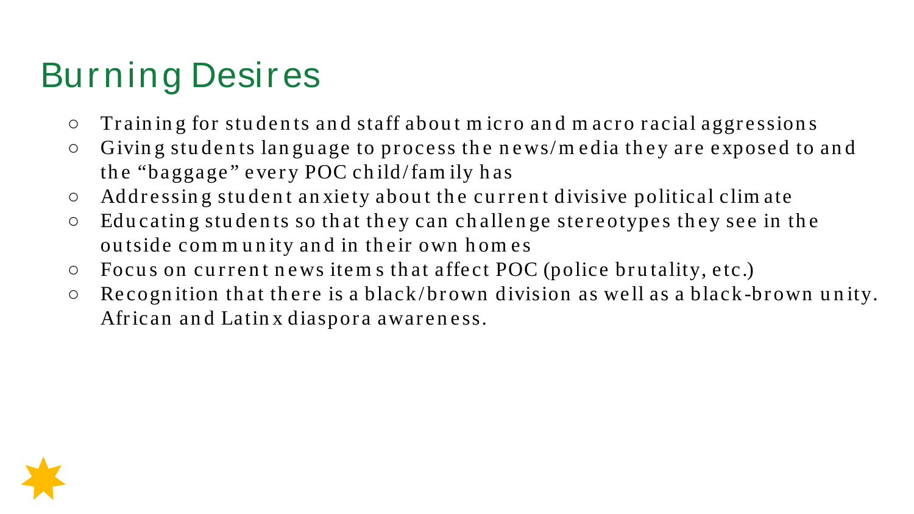## Burning Desires

- Train in g for stu den ts an d staff abou t m icro an d m acro racial aggression s
- Givin g stu den ts lan gu age to process th e n ews/m edia th ey are exposed to an d th e "baggage" every POC ch ild/fam ily h as
- Addressin g stu den t an xiety abou t th e cu rren t divisive political clim ate
- Edu catin g stu den ts so th at th ey can ch allen ge stereotypes th ey see in th e outside com m unity and in their own hom es
- $\circ$  Focus on current news items that affect POC (police brutality, etc.)
- $\circ$  Recognition that there is a black/brown division as well as a black-brown unity. African an d Latin x diaspora awaren ess.

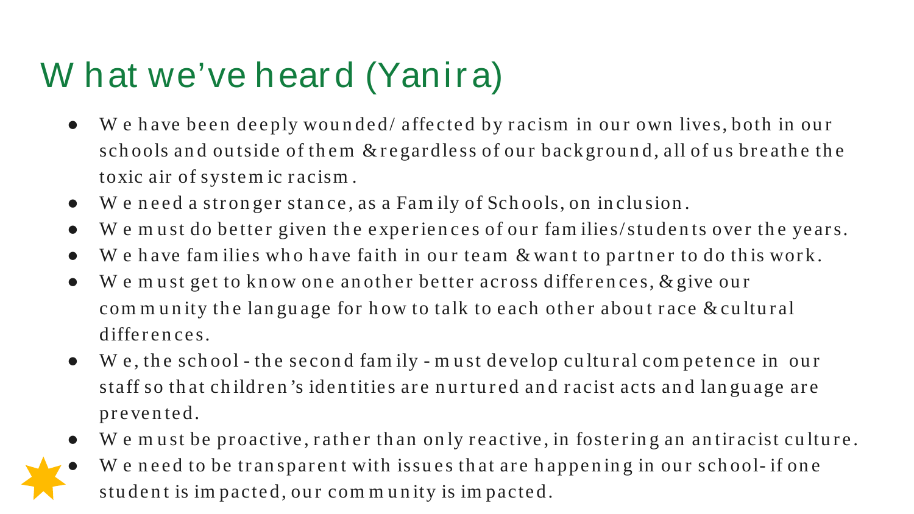## W hat we've heard (Yanira)

- We have been deeply wounded/ affected by racism in our own lives, both in our schools and outside of them  $\&$  regardless of our background, all of us breathe the toxic air of syste m ic r acism .
- We need a stronger stance, as a Family of Schools, on inclusion.
- We must do better given the experiences of our families/students over the years.
- We have families who have faith in our team  $\&$  want to partner to do this work.
- We must get to know one another better across differences, & give our com munity the language for how to talk to each other about race & cultural differences.
- W e, th e sch ool th e secon d fam ily m ust develop cultural com peten ce in our staff so that children's identities are nurtured and racist acts and language are pr e ve n te d.
- $\bullet$  W e must be proactive, rather than only reactive, in fostering an antiracist culture.
- We need to be transparent with issues that are happening in our school- if one student is impacted, our community is impacted.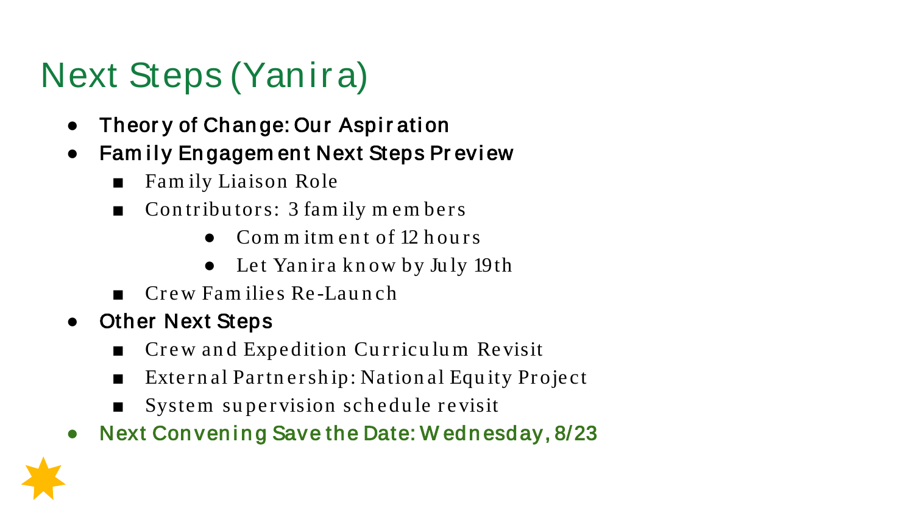# Next Steps (Yanira)

- Theory of Change: Our Aspiration
- Family Engagem ent Next Steps Preview
	- Family Liaison Role
	- Contributors: 3 family members
		- Com m itm ent of 12 hours
		- Let Yanira know by July 19th
	- Crew Fam ilies Re -Lau n ch
- Other Next Steps
	- Crew and Expedition Curriculum Revisit
	- External Partnership: National Equity Project
	- System supervision schedule revisit
- Next Convening Save the Date: W ednesday, 8/23